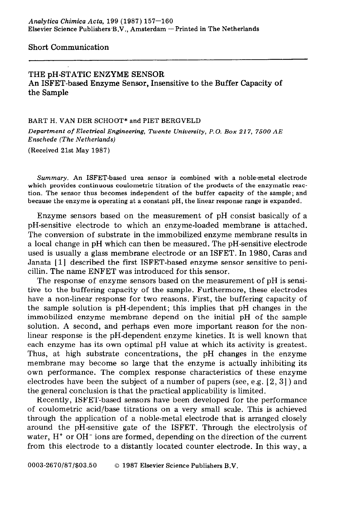Short Communication

# THE pH-STATIC ENZYME SENSOR An ISFET-based Enzyme Sensor, Insensitive to the Buffer Capacity of the Sample

#### **BART H. VAN DER SCHOOT\* and PIET BERGVELD**

*Department of Electrical Engineering, Twente University, P.O. Box 217, 7500 AE Enschede (The Netherlands)* 

**(Received 21st May 1987)** 

*Summary.* **An ISFET-based urea sensor is combined with a noble-metal electrode which provides continuous coulometric titration of the products of the enzymatic reaction. The sensor thus becomes independent of the buffer capacity of the sample; and because the enzyme is operating at a constant pH, the linear response range is expanded.** 

Enzyme sensors based on the measurement of pH consist basically of a pH-sensitive electrode to which an enzyme-loaded membrane is attached. The conversion of substrate in the immobilized enzyme membrane results in a local change in pH which can then be measured. The pH-sensitive electrode used is usually a glass membrane electrode or an ISFET. In 1980, Caras and Janata [l] described the first ISFET-based enzyme sensor sensitive to penicillin. The name ENFET was introduced for this sensor.

The response of enzyme sensors based on the measurement of pH is sensitive to the buffering capacity of the sample. Furthermore, these electrodes have a non-linear response for two reasons. First, the buffering capacity of the sample solution is pH-dependent; this implies that pH changes in the immobilized enzyme membrane depend on the initial pH of the sample solution. A second, and perhaps even more important reason for the nonlinear response is the pH-dependent enzyme kinetics. It is well known that each enzyme has its own optimal pH value at which its activity is greatest. Thus, at high substrate concentrations, the pH changes in the enzyme membrane may become so large that the enzyme is actually inhibiting its own performance. The complex response characteristics of these enzyme electrodes have been the subject of a number of papers (see, e.g.  $[2,3]$ ) and the general conclusion is that the practical applicability is limited.

Recently, ISFET-based sensors have been developed for the performance of coulometric acid/base titrations on a very small scale. This is achieved through the application of a noble-metal electrode that is arranged closely around the pH-sensitive gate of the ISFET. Through the electrolysis of water,  $H^+$  or OH $^-$  ions are formed, depending on the direction of the current from this electrode to a distantly located counter electrode. In this way, a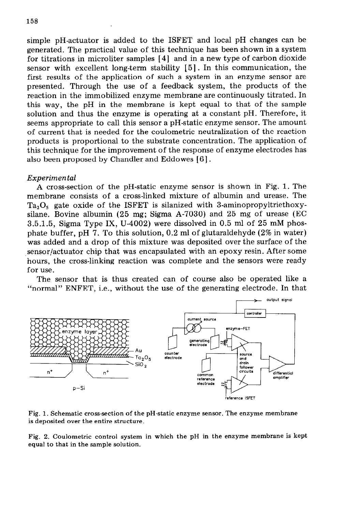simple pH-actuator is added to the ISFET and local pH changes can be generated. The practical value of this technique has been shown in a system for titrations in microliter samples [4] and in a new type of carbon dioxide sensor with excellent long-term stability [5] . In this communication, the first results of the application of such a system in an enzyme sensor are presented. Through the use of a feedback system, the products of the reaction in the immobilized enzyme membrane are continuously titrated. In this way, the pH in the membrane is kept equal to that of the sample solution and thus the enzyme is operating at a constant pH. Therefore, it seems appropriate to call this sensor a pH-static enzyme sensor. The amount of current that is needed for the coulometric neutralization of the reaction products is proportional to the substrate concentration. The application of this technique for the improvement of the response of enzyme electrodes has also been proposed by Chandler and Eddowes [6].

### *Experimental*

A cross-section of the pH-static enzyme sensor is shown in Fig. 1. The membrane consists of a cross-linked mixture of albumin and urease. The  $Ta<sub>2</sub>O<sub>s</sub>$  gate oxide of the ISFET is silanized with 3-aminopropyltriethoxysilane. Bovine albumin (25 mg; Sigma A-7030) and 25 mg of urease (EC 3.5.1.5, Sigma Type IX, U-4002) were dissolved in 0.5 ml of 25 mM phosphate buffer, pH 7. To this solution, 0.2 ml of glutaraldehyde (2% in water) was added and a drop of this mixture was deposited over the surface of the sensor/actuator chip that was encapsulated with an epoxy resin. After some hours, the cross-linking reaction was complete and the sensors were ready for use.

The sensor that is thus created can of course also be operated like a "normal" ENFET, i.e., without the use of the generating electrode. In that



**Fig. 1. Schematic cross-section of the pH-static enzyme sensor. The enzyme membrane is deposited over the entire structure.** 

**Fig. 2. Coulometric control system in which the pH in the enzyme membrane is kept equal to that in the sample solution.**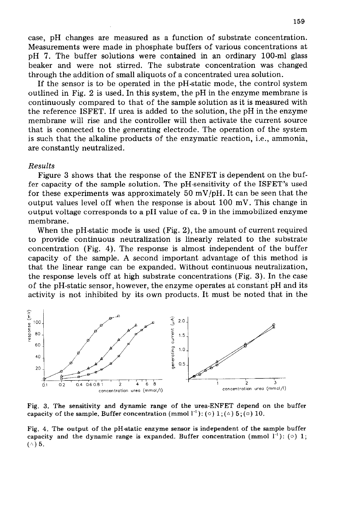case, pH changes are measured as a function of substrate concentration. Measurements were made in phosphate buffers of various concentrations at pH 7. The buffer solutions were contained in an ordinary lOO-ml glass beaker and were not stirred. The substrate concentration was changed through the addition of small aliquots of a concentrated urea solution.

If the sensor is to be operated in the pH-static mode, the control system outlined in Fig. 2 is used. In this system, the pH in the enzyme membrane is continuously compared to that of the sample solution as it is measured with the reference ISFET. If urea is added to the solution, the pH in the enzyme membrane will rise and the controller will then activate the current source that is connected to the generating electrode. The operation of the system is such that the alkaline products of the enzymatic reaction, i.e., ammonia, are constantly neutralized.

#### *Results*

Figure 3 shows that the response of the ENFET is dependent on the buffer capacity of the sample solution. The pH-sensitivity of the ISFET's used for these experiments was approximately 50 mV/pH. It can be seen that the output values level off when the response is about 100 mV. This change in output voltage corresponds to a pH value of ca. 9 in the immobilized enzyme membrane.

When the pH-static mode is used (Fig. 2), the amount of current required to provide continuous neutralization is linearly related to the substrate concentration (Fig. 4). The response is almost independent of the buffer capacity of the sample. A second important advantage of this method is that the linear range can be expanded. Without continuous neutralization, the response levels off at high substrate concentrations (Fig. 3). In the case of the pH-static sensor, however, the enzyme operates at constant pH and its activity is not inhibited by its own products. It must be noted that in the



**Fig. 3. The sensitivity and dynamic range of the urea-ENFET depend on the buffer**  capacity of the sample. Buffer concentration (mmol  $l^{-1}$ ): ( $\circ$ ) 1; ( $\circ$ ) 5; ( $\circ$ ) 10.

**Fig. 4. The output of the pH-static enzyme sensor is independent of the sample buffer**  capacity and the dynamic range is expanded. Buffer concentration (mmol  $1^{-1}$ ): ( $\circ$ ) 1;  $($  $\wedge$  $)$  5.